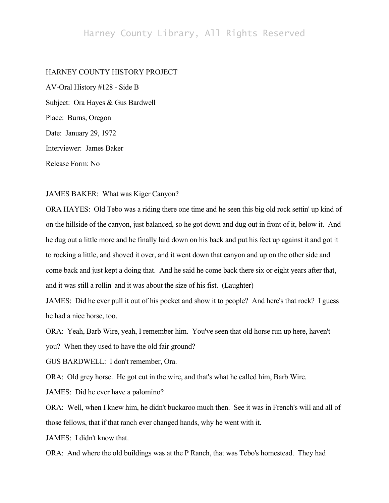## Harney County Library, All Rights Reserved

## HARNEY COUNTY HISTORY PROJECT

AV-Oral History #128 - Side B Subject: Ora Hayes & Gus Bardwell Place: Burns, Oregon Date: January 29, 1972 Interviewer: James Baker Release Form: No

## JAMES BAKER: What was Kiger Canyon?

ORA HAYES: Old Tebo was a riding there one time and he seen this big old rock settin' up kind of on the hillside of the canyon, just balanced, so he got down and dug out in front of it, below it. And he dug out a little more and he finally laid down on his back and put his feet up against it and got it to rocking a little, and shoved it over, and it went down that canyon and up on the other side and come back and just kept a doing that. And he said he come back there six or eight years after that, and it was still a rollin' and it was about the size of his fist. (Laughter)

JAMES: Did he ever pull it out of his pocket and show it to people? And here's that rock? I guess he had a nice horse, too.

ORA: Yeah, Barb Wire, yeah, I remember him. You've seen that old horse run up here, haven't you? When they used to have the old fair ground?

GUS BARDWELL: I don't remember, Ora.

ORA: Old grey horse. He got cut in the wire, and that's what he called him, Barb Wire.

JAMES: Did he ever have a palomino?

ORA: Well, when I knew him, he didn't buckaroo much then. See it was in French's will and all of those fellows, that if that ranch ever changed hands, why he went with it.

JAMES: I didn't know that.

ORA: And where the old buildings was at the P Ranch, that was Tebo's homestead. They had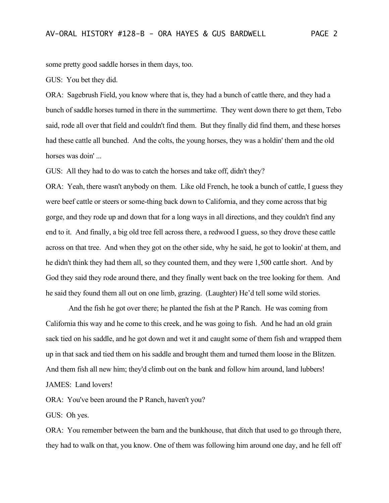some pretty good saddle horses in them days, too.

GUS: You bet they did.

ORA: Sagebrush Field, you know where that is, they had a bunch of cattle there, and they had a bunch of saddle horses turned in there in the summertime. They went down there to get them, Tebo said, rode all over that field and couldn't find them. But they finally did find them, and these horses had these cattle all bunched. And the colts, the young horses, they was a holdin' them and the old horses was doin' ...

GUS: All they had to do was to catch the horses and take off, didn't they?

ORA: Yeah, there wasn't anybody on them. Like old French, he took a bunch of cattle, I guess they were beef cattle or steers or some-thing back down to California, and they come across that big gorge, and they rode up and down that for a long ways in all directions, and they couldn't find any end to it. And finally, a big old tree fell across there, a redwood I guess, so they drove these cattle across on that tree. And when they got on the other side, why he said, he got to lookin' at them, and he didn't think they had them all, so they counted them, and they were 1,500 cattle short. And by God they said they rode around there, and they finally went back on the tree looking for them. And he said they found them all out on one limb, grazing. (Laughter) He'd tell some wild stories.

And the fish he got over there; he planted the fish at the P Ranch. He was coming from California this way and he come to this creek, and he was going to fish. And he had an old grain sack tied on his saddle, and he got down and wet it and caught some of them fish and wrapped them up in that sack and tied them on his saddle and brought them and turned them loose in the Blitzen. And them fish all new him; they'd climb out on the bank and follow him around, land lubbers! JAMES: Land lovers!

ORA: You've been around the P Ranch, haven't you?

GUS: Oh yes.

ORA: You remember between the barn and the bunkhouse, that ditch that used to go through there, they had to walk on that, you know. One of them was following him around one day, and he fell off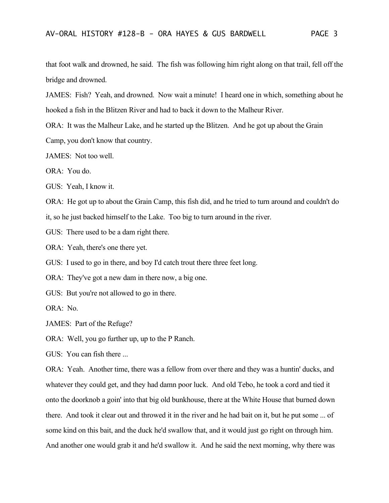that foot walk and drowned, he said. The fish was following him right along on that trail, fell off the bridge and drowned.

JAMES: Fish? Yeah, and drowned. Now wait a minute! I heard one in which, something about he hooked a fish in the Blitzen River and had to back it down to the Malheur River.

ORA: It was the Malheur Lake, and he started up the Blitzen. And he got up about the Grain

Camp, you don't know that country.

JAMES: Not too well.

ORA: You do.

GUS: Yeah, I know it.

ORA: He got up to about the Grain Camp, this fish did, and he tried to turn around and couldn't do

it, so he just backed himself to the Lake. Too big to turn around in the river.

GUS: There used to be a dam right there.

ORA: Yeah, there's one there yet.

GUS: I used to go in there, and boy I'd catch trout there three feet long.

ORA: They've got a new dam in there now, a big one.

GUS: But you're not allowed to go in there.

ORA: No.

JAMES: Part of the Refuge?

ORA: Well, you go further up, up to the P Ranch.

GUS: You can fish there ...

ORA: Yeah. Another time, there was a fellow from over there and they was a huntin' ducks, and whatever they could get, and they had damn poor luck. And old Tebo, he took a cord and tied it onto the doorknob a goin' into that big old bunkhouse, there at the White House that burned down there. And took it clear out and throwed it in the river and he had bait on it, but he put some ... of some kind on this bait, and the duck he'd swallow that, and it would just go right on through him. And another one would grab it and he'd swallow it. And he said the next morning, why there was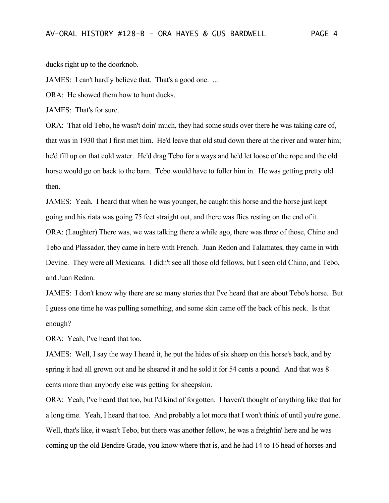ducks right up to the doorknob.

JAMES: I can't hardly believe that. That's a good one. ...

ORA: He showed them how to hunt ducks.

JAMES: That's for sure.

ORA: That old Tebo, he wasn't doin' much, they had some studs over there he was taking care of, that was in 1930 that I first met him. He'd leave that old stud down there at the river and water him; he'd fill up on that cold water. He'd drag Tebo for a ways and he'd let loose of the rope and the old horse would go on back to the barn. Tebo would have to foller him in. He was getting pretty old then.

JAMES: Yeah. I heard that when he was younger, he caught this horse and the horse just kept going and his riata was going 75 feet straight out, and there was flies resting on the end of it. ORA: (Laughter) There was, we was talking there a while ago, there was three of those, Chino and Tebo and Plassador, they came in here with French. Juan Redon and Talamates, they came in with Devine. They were all Mexicans. I didn't see all those old fellows, but I seen old Chino, and Tebo, and Juan Redon.

JAMES: I don't know why there are so many stories that I've heard that are about Tebo's horse. But I guess one time he was pulling something, and some skin came off the back of his neck. Is that enough?

ORA: Yeah, I've heard that too.

JAMES: Well, I say the way I heard it, he put the hides of six sheep on this horse's back, and by spring it had all grown out and he sheared it and he sold it for 54 cents a pound. And that was 8 cents more than anybody else was getting for sheepskin.

ORA: Yeah, I've heard that too, but I'd kind of forgotten. I haven't thought of anything like that for a long time. Yeah, I heard that too. And probably a lot more that I won't think of until you're gone. Well, that's like, it wasn't Tebo, but there was another fellow, he was a freightin' here and he was coming up the old Bendire Grade, you know where that is, and he had 14 to 16 head of horses and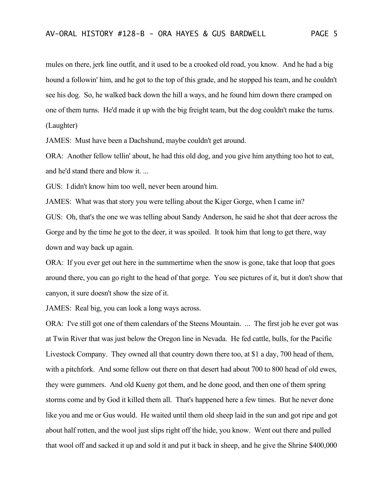mules on there, jerk line outfit, and it used to be a crooked old road, you know. And he had a big hound a followin' him, and he got to the top of this grade, and he stopped his team, and he couldn't see his dog. So, he walked back down the hill a ways, and he found him down there cramped on one of them turns. He'd made it up with the big freight team, but the dog couldn't make the turns. (Laughter)

JAMES: Must have been a Dachshund, maybe couldn't get around.

ORA: Another fellow tellin' about, he had this old dog, and you give him anything too hot to eat, and he'd stand there and blow it. ...

GUS: I didn't know him too well, never been around him.

JAMES: What was that story you were telling about the Kiger Gorge, when I came in? GUS: Oh, that's the one we was telling about Sandy Anderson, he said he shot that deer across the Gorge and by the time he got to the deer, it was spoiled. It took him that long to get there, way down and way back up again.

ORA: If you ever get out here in the summertime when the snow is gone, take that loop that goes around there, you can go right to the head of that gorge. You see pictures of it, but it don't show that canyon, it sure doesn't show the size of it.

JAMES: Real big, you can look a long ways across.

ORA: I've still got one of them calendars of the Steens Mountain. ... The first job he ever got was at Twin River that was just below the Oregon line in Nevada. He fed cattle, bulls, for the Pacific Livestock Company. They owned all that country down there too, at \$1 a day, 700 head of them, with a pitchfork. And some fellow out there on that desert had about 700 to 800 head of old ewes, they were gummers. And old Kueny got them, and he done good, and then one of them spring storms come and by God it killed them all. That's happened here a few times. But he never done like you and me or Gus would. He waited until them old sheep laid in the sun and got ripe and got about half rotten, and the wool just slips right off the hide, you know. Went out there and pulled that wool off and sacked it up and sold it and put it back in sheep, and he give the Shrine \$400,000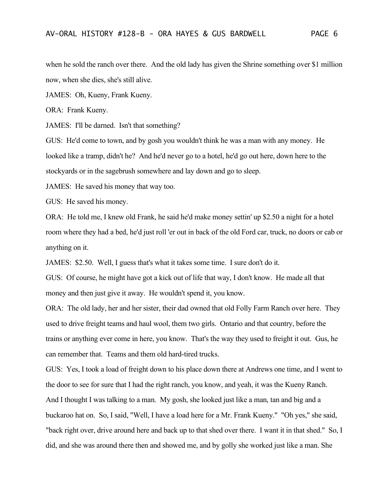when he sold the ranch over there. And the old lady has given the Shrine something over \$1 million now, when she dies, she's still alive.

JAMES: Oh, Kueny, Frank Kueny.

ORA: Frank Kueny.

JAMES: I'll be darned. Isn't that something?

GUS: He'd come to town, and by gosh you wouldn't think he was a man with any money. He looked like a tramp, didn't he? And he'd never go to a hotel, he'd go out here, down here to the stockyards or in the sagebrush somewhere and lay down and go to sleep.

JAMES: He saved his money that way too.

GUS: He saved his money.

ORA: He told me, I knew old Frank, he said he'd make money settin' up \$2.50 a night for a hotel room where they had a bed, he'd just roll 'er out in back of the old Ford car, truck, no doors or cab or anything on it.

JAMES: \$2.50. Well, I guess that's what it takes some time. I sure don't do it.

GUS: Of course, he might have got a kick out of life that way, I don't know. He made all that money and then just give it away. He wouldn't spend it, you know.

ORA: The old lady, her and her sister, their dad owned that old Folly Farm Ranch over here. They used to drive freight teams and haul wool, them two girls. Ontario and that country, before the trains or anything ever come in here, you know. That's the way they used to freight it out. Gus, he can remember that. Teams and them old hard-tired trucks.

GUS: Yes, I took a load of freight down to his place down there at Andrews one time, and I went to the door to see for sure that I had the right ranch, you know, and yeah, it was the Kueny Ranch. And I thought I was talking to a man. My gosh, she looked just like a man, tan and big and a buckaroo hat on. So, I said, "Well, I have a load here for a Mr. Frank Kueny." "Oh yes," she said, "back right over, drive around here and back up to that shed over there. I want it in that shed." So, I did, and she was around there then and showed me, and by golly she worked just like a man. She